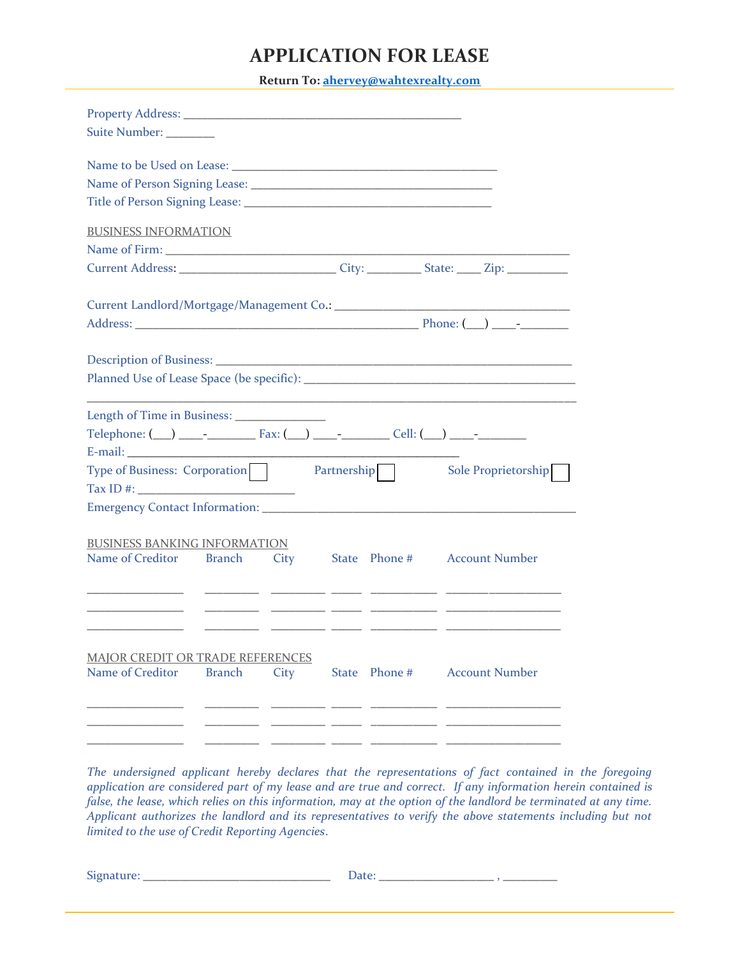## **APPLICATION FOR LEASE**

**Return To: [ahervey@wahtexrealty.com](mailto:ahervey@wahtexrealty.com)**

| Suite Number: ________                                                                                                                                                                                                                                                                                 |      |               |                                   |                       |
|--------------------------------------------------------------------------------------------------------------------------------------------------------------------------------------------------------------------------------------------------------------------------------------------------------|------|---------------|-----------------------------------|-----------------------|
|                                                                                                                                                                                                                                                                                                        |      |               |                                   |                       |
| <b>BUSINESS INFORMATION</b><br>Current Address: _________________________________City: _____________________Zip: _________________                                                                                                                                                                     |      |               |                                   |                       |
|                                                                                                                                                                                                                                                                                                        |      |               |                                   |                       |
|                                                                                                                                                                                                                                                                                                        |      |               |                                   |                       |
| Length of Time in Business: _______________<br>Type of Business: Corporation   Partnership                                                                                                                                                                                                             |      |               |                                   | Sole Proprietorship   |
| Tax ID #: $\frac{1}{2}$ = $\frac{1}{2}$ = $\frac{1}{2}$ = $\frac{1}{2}$ = $\frac{1}{2}$ = $\frac{1}{2}$ = $\frac{1}{2}$ = $\frac{1}{2}$ = $\frac{1}{2}$ = $\frac{1}{2}$ = $\frac{1}{2}$ = $\frac{1}{2}$ = $\frac{1}{2}$ = $\frac{1}{2}$ = $\frac{1}{2}$ = $\frac{1}{2}$ = $\frac{1}{2}$ = $\frac{1}{2$ |      |               |                                   |                       |
| <b>BUSINESS BANKING INFORMATION</b><br>Name of Creditor Branch                                                                                                                                                                                                                                         |      |               | City State Phone # Account Number |                       |
| <b>MAJOR CREDIT OR TRADE REFERENCES</b><br>Name of Creditor<br><b>Branch</b>                                                                                                                                                                                                                           | City | State Phone # |                                   | <b>Account Number</b> |
|                                                                                                                                                                                                                                                                                                        |      |               |                                   |                       |

*The undersigned applicant hereby declares that the representations of fact contained in the foregoing application are considered part of my lease and are true and correct. If any information herein contained is*  false, the lease, which relies on this information, may at the option of the landlord be terminated at any time. *Applicant authorizes the landlord and its representatives to verify the above statements including but not limited to the use of Credit Reporting Agencies*.

 $\text{Square:}\quad \text{\underline{\hspace{1.5cm}}\hspace{1.5cm} \textbf{Date:}\hspace{1.5cm} \textbf{Date:}\hspace{1.5cm} \textbf{Date:}\hspace{1.5cm} \textbf{Date:}\hspace{1.5cm} \textbf{Date:}\hspace{1.5cm} \textbf{Date:}\hspace{1.5cm} \textbf{Date:}\hspace{1.5cm} \textbf{Date:}\hspace{1.5cm} \textbf{Date:}\hspace{1.5cm} \textbf{Date:}\hspace{1.5cm} \textbf{Date:}\hspace{1.5cm} \textbf{Date:}\hspace{1.5cm$